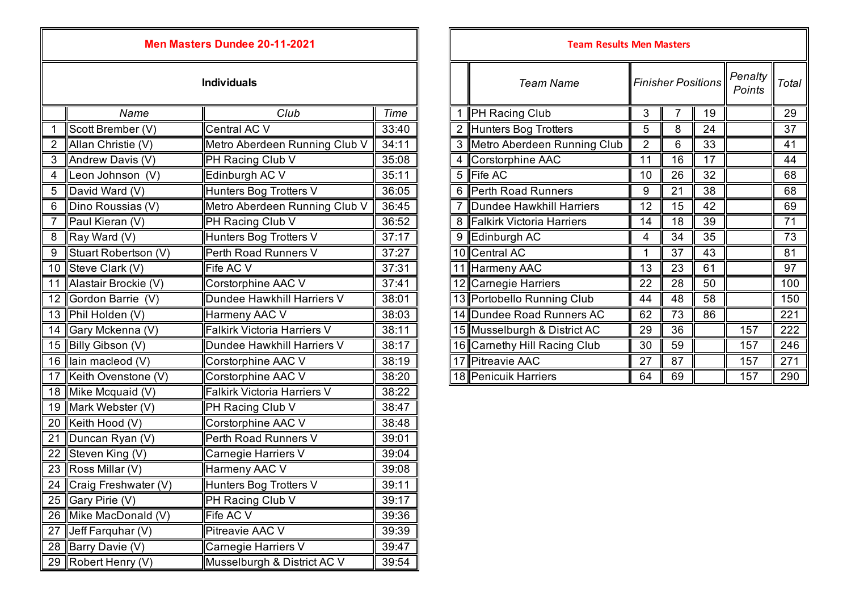## **Men Masters Dundee 20-11-2021**

| 1 PH Racing Club<br>$\overline{19}$<br>Club<br>Time<br>3<br>Name<br>Scott Brember (V)<br>2 Hunters Bog Trotters<br>Central AC V<br>33:40<br>5<br>8<br>24<br>3 Metro Aberdeen Running Club<br>Allan Christie (V)<br>Metro Aberdeen Running Club V<br>$\overline{2}$<br>$\overline{33}$<br>$\overline{2}$<br>34:11<br>6<br><b>PH Racing Club V</b><br>35:08<br>4 Corstorphine AAC<br>17<br>Andrew Davis (V)<br>$\overline{11}$<br>3<br>16<br>Edinburgh AC V<br>5 Fife AC<br>Leon Johnson (V)<br>32<br>35:11<br>10<br>26<br>4<br>6 Perth Road Runners<br>David Ward (V)<br>Hunters Bog Trotters V<br>36:05<br>9<br>$\overline{21}$<br>$\overline{38}$<br>5<br>Metro Aberdeen Running Club V<br>7 Dundee Hawkhill Harriers<br>Dino Roussias (V)<br>36:45<br>12<br>42<br>6<br>15<br>Paul Kieran (V)<br>PH Racing Club V<br>8 Falkirk Victoria Harriers<br>$\overline{39}$<br>$\overline{7}$<br>36:52<br>14<br>18<br>35<br>Ray Ward (V)<br>Hunters Bog Trotters V<br>37:17<br>9 Edinburgh AC<br>34<br>$\overline{4}$<br>8<br>Stuart Robertson (V)<br>Perth Road Runners V<br>37:27<br>10 Central AC<br>$\overline{37}$<br>$\overline{43}$<br>9<br>1<br>11 Harmeny AAC<br>10 Steve Clark (V)<br>Fife AC V<br>37:31<br>$\overline{13}$<br>23<br>61<br>Alastair Brockie (V)<br>Corstorphine AAC V<br>12 Carnegie Harriers<br>37:41<br>28<br>50<br>22<br>11<br>$\overline{58}$<br>12 Gordon Barrie (V)<br>Dundee Hawkhill Harriers V<br>38:01<br>13 Portobello Running Club<br>48<br>44<br>13 Phil Holden (V)<br>38:03<br>14 Dundee Road Runners AC<br>62<br>$\overline{73}$<br>Harmeny AAC V<br>86<br>14 Gary Mckenna (V)<br>Falkirk Victoria Harriers V<br>38:11<br>15 Musselburgh & District AC<br>29<br>$\overline{36}$<br>157<br>15 Billy Gibson (V)<br>Dundee Hawkhill Harriers V<br>38:17<br>16 Carnethy Hill Racing Club<br>30<br>59<br>157<br>16 Iain macleod (V)<br>Corstorphine AAC V<br>17 Pitreavie AAC<br>$\overline{27}$<br>$\overline{87}$<br>38:19<br>157<br>17 Keith Ovenstone (V)<br>18 Penicuik Harriers<br>Corstorphine AAC V<br>38:20<br>64<br>69<br>157<br>18 Mike Mcquaid (V)<br>Falkirk Victoria Harriers V<br>38:22<br>19 Mark Webster (V)<br>PH Racing Club V<br>38:47<br>Corstorphine AAC V<br>38:48<br>20 Keith Hood (V)<br>21 Duncan Ryan (V)<br>Perth Road Runners V<br>39:01<br>Steven King (V)<br>22<br>Carnegie Harriers V<br>39:04<br>23 Ross Millar (V)<br><b>Harmeny AAC V</b><br>39:08<br>Craig Freshwater (V)<br>Hunters Bog Trotters V<br>39:11<br>24<br>PH Racing Club V<br>Gary Pirie (V)<br>39:17<br>25<br>Fife AC V<br>26 Mike MacDonald (V)<br>39:36<br>Pitreavie AAC V<br>39:39<br>Jeff Farquhar (V)<br>27<br>28 Barry Davie (V)<br>Carnegie Harriers V<br>39:47 |  |  |  |  |  |
|------------------------------------------------------------------------------------------------------------------------------------------------------------------------------------------------------------------------------------------------------------------------------------------------------------------------------------------------------------------------------------------------------------------------------------------------------------------------------------------------------------------------------------------------------------------------------------------------------------------------------------------------------------------------------------------------------------------------------------------------------------------------------------------------------------------------------------------------------------------------------------------------------------------------------------------------------------------------------------------------------------------------------------------------------------------------------------------------------------------------------------------------------------------------------------------------------------------------------------------------------------------------------------------------------------------------------------------------------------------------------------------------------------------------------------------------------------------------------------------------------------------------------------------------------------------------------------------------------------------------------------------------------------------------------------------------------------------------------------------------------------------------------------------------------------------------------------------------------------------------------------------------------------------------------------------------------------------------------------------------------------------------------------------------------------------------------------------------------------------------------------------------------------------------------------------------------------------------------------------------------------------------------------------------------------------------------------------------------------------------------------------------------------------------------------------------------------------------------------------------------------------------------------------------------------------------------------------------------------------------------------------------------------------------------------------------------|--|--|--|--|--|
|                                                                                                                                                                                                                                                                                                                                                                                                                                                                                                                                                                                                                                                                                                                                                                                                                                                                                                                                                                                                                                                                                                                                                                                                                                                                                                                                                                                                                                                                                                                                                                                                                                                                                                                                                                                                                                                                                                                                                                                                                                                                                                                                                                                                                                                                                                                                                                                                                                                                                                                                                                                                                                                                                                      |  |  |  |  |  |
|                                                                                                                                                                                                                                                                                                                                                                                                                                                                                                                                                                                                                                                                                                                                                                                                                                                                                                                                                                                                                                                                                                                                                                                                                                                                                                                                                                                                                                                                                                                                                                                                                                                                                                                                                                                                                                                                                                                                                                                                                                                                                                                                                                                                                                                                                                                                                                                                                                                                                                                                                                                                                                                                                                      |  |  |  |  |  |
|                                                                                                                                                                                                                                                                                                                                                                                                                                                                                                                                                                                                                                                                                                                                                                                                                                                                                                                                                                                                                                                                                                                                                                                                                                                                                                                                                                                                                                                                                                                                                                                                                                                                                                                                                                                                                                                                                                                                                                                                                                                                                                                                                                                                                                                                                                                                                                                                                                                                                                                                                                                                                                                                                                      |  |  |  |  |  |
|                                                                                                                                                                                                                                                                                                                                                                                                                                                                                                                                                                                                                                                                                                                                                                                                                                                                                                                                                                                                                                                                                                                                                                                                                                                                                                                                                                                                                                                                                                                                                                                                                                                                                                                                                                                                                                                                                                                                                                                                                                                                                                                                                                                                                                                                                                                                                                                                                                                                                                                                                                                                                                                                                                      |  |  |  |  |  |
|                                                                                                                                                                                                                                                                                                                                                                                                                                                                                                                                                                                                                                                                                                                                                                                                                                                                                                                                                                                                                                                                                                                                                                                                                                                                                                                                                                                                                                                                                                                                                                                                                                                                                                                                                                                                                                                                                                                                                                                                                                                                                                                                                                                                                                                                                                                                                                                                                                                                                                                                                                                                                                                                                                      |  |  |  |  |  |
|                                                                                                                                                                                                                                                                                                                                                                                                                                                                                                                                                                                                                                                                                                                                                                                                                                                                                                                                                                                                                                                                                                                                                                                                                                                                                                                                                                                                                                                                                                                                                                                                                                                                                                                                                                                                                                                                                                                                                                                                                                                                                                                                                                                                                                                                                                                                                                                                                                                                                                                                                                                                                                                                                                      |  |  |  |  |  |
|                                                                                                                                                                                                                                                                                                                                                                                                                                                                                                                                                                                                                                                                                                                                                                                                                                                                                                                                                                                                                                                                                                                                                                                                                                                                                                                                                                                                                                                                                                                                                                                                                                                                                                                                                                                                                                                                                                                                                                                                                                                                                                                                                                                                                                                                                                                                                                                                                                                                                                                                                                                                                                                                                                      |  |  |  |  |  |
|                                                                                                                                                                                                                                                                                                                                                                                                                                                                                                                                                                                                                                                                                                                                                                                                                                                                                                                                                                                                                                                                                                                                                                                                                                                                                                                                                                                                                                                                                                                                                                                                                                                                                                                                                                                                                                                                                                                                                                                                                                                                                                                                                                                                                                                                                                                                                                                                                                                                                                                                                                                                                                                                                                      |  |  |  |  |  |
|                                                                                                                                                                                                                                                                                                                                                                                                                                                                                                                                                                                                                                                                                                                                                                                                                                                                                                                                                                                                                                                                                                                                                                                                                                                                                                                                                                                                                                                                                                                                                                                                                                                                                                                                                                                                                                                                                                                                                                                                                                                                                                                                                                                                                                                                                                                                                                                                                                                                                                                                                                                                                                                                                                      |  |  |  |  |  |
|                                                                                                                                                                                                                                                                                                                                                                                                                                                                                                                                                                                                                                                                                                                                                                                                                                                                                                                                                                                                                                                                                                                                                                                                                                                                                                                                                                                                                                                                                                                                                                                                                                                                                                                                                                                                                                                                                                                                                                                                                                                                                                                                                                                                                                                                                                                                                                                                                                                                                                                                                                                                                                                                                                      |  |  |  |  |  |
|                                                                                                                                                                                                                                                                                                                                                                                                                                                                                                                                                                                                                                                                                                                                                                                                                                                                                                                                                                                                                                                                                                                                                                                                                                                                                                                                                                                                                                                                                                                                                                                                                                                                                                                                                                                                                                                                                                                                                                                                                                                                                                                                                                                                                                                                                                                                                                                                                                                                                                                                                                                                                                                                                                      |  |  |  |  |  |
|                                                                                                                                                                                                                                                                                                                                                                                                                                                                                                                                                                                                                                                                                                                                                                                                                                                                                                                                                                                                                                                                                                                                                                                                                                                                                                                                                                                                                                                                                                                                                                                                                                                                                                                                                                                                                                                                                                                                                                                                                                                                                                                                                                                                                                                                                                                                                                                                                                                                                                                                                                                                                                                                                                      |  |  |  |  |  |
|                                                                                                                                                                                                                                                                                                                                                                                                                                                                                                                                                                                                                                                                                                                                                                                                                                                                                                                                                                                                                                                                                                                                                                                                                                                                                                                                                                                                                                                                                                                                                                                                                                                                                                                                                                                                                                                                                                                                                                                                                                                                                                                                                                                                                                                                                                                                                                                                                                                                                                                                                                                                                                                                                                      |  |  |  |  |  |
|                                                                                                                                                                                                                                                                                                                                                                                                                                                                                                                                                                                                                                                                                                                                                                                                                                                                                                                                                                                                                                                                                                                                                                                                                                                                                                                                                                                                                                                                                                                                                                                                                                                                                                                                                                                                                                                                                                                                                                                                                                                                                                                                                                                                                                                                                                                                                                                                                                                                                                                                                                                                                                                                                                      |  |  |  |  |  |
|                                                                                                                                                                                                                                                                                                                                                                                                                                                                                                                                                                                                                                                                                                                                                                                                                                                                                                                                                                                                                                                                                                                                                                                                                                                                                                                                                                                                                                                                                                                                                                                                                                                                                                                                                                                                                                                                                                                                                                                                                                                                                                                                                                                                                                                                                                                                                                                                                                                                                                                                                                                                                                                                                                      |  |  |  |  |  |
|                                                                                                                                                                                                                                                                                                                                                                                                                                                                                                                                                                                                                                                                                                                                                                                                                                                                                                                                                                                                                                                                                                                                                                                                                                                                                                                                                                                                                                                                                                                                                                                                                                                                                                                                                                                                                                                                                                                                                                                                                                                                                                                                                                                                                                                                                                                                                                                                                                                                                                                                                                                                                                                                                                      |  |  |  |  |  |
|                                                                                                                                                                                                                                                                                                                                                                                                                                                                                                                                                                                                                                                                                                                                                                                                                                                                                                                                                                                                                                                                                                                                                                                                                                                                                                                                                                                                                                                                                                                                                                                                                                                                                                                                                                                                                                                                                                                                                                                                                                                                                                                                                                                                                                                                                                                                                                                                                                                                                                                                                                                                                                                                                                      |  |  |  |  |  |
|                                                                                                                                                                                                                                                                                                                                                                                                                                                                                                                                                                                                                                                                                                                                                                                                                                                                                                                                                                                                                                                                                                                                                                                                                                                                                                                                                                                                                                                                                                                                                                                                                                                                                                                                                                                                                                                                                                                                                                                                                                                                                                                                                                                                                                                                                                                                                                                                                                                                                                                                                                                                                                                                                                      |  |  |  |  |  |
|                                                                                                                                                                                                                                                                                                                                                                                                                                                                                                                                                                                                                                                                                                                                                                                                                                                                                                                                                                                                                                                                                                                                                                                                                                                                                                                                                                                                                                                                                                                                                                                                                                                                                                                                                                                                                                                                                                                                                                                                                                                                                                                                                                                                                                                                                                                                                                                                                                                                                                                                                                                                                                                                                                      |  |  |  |  |  |
|                                                                                                                                                                                                                                                                                                                                                                                                                                                                                                                                                                                                                                                                                                                                                                                                                                                                                                                                                                                                                                                                                                                                                                                                                                                                                                                                                                                                                                                                                                                                                                                                                                                                                                                                                                                                                                                                                                                                                                                                                                                                                                                                                                                                                                                                                                                                                                                                                                                                                                                                                                                                                                                                                                      |  |  |  |  |  |
|                                                                                                                                                                                                                                                                                                                                                                                                                                                                                                                                                                                                                                                                                                                                                                                                                                                                                                                                                                                                                                                                                                                                                                                                                                                                                                                                                                                                                                                                                                                                                                                                                                                                                                                                                                                                                                                                                                                                                                                                                                                                                                                                                                                                                                                                                                                                                                                                                                                                                                                                                                                                                                                                                                      |  |  |  |  |  |
|                                                                                                                                                                                                                                                                                                                                                                                                                                                                                                                                                                                                                                                                                                                                                                                                                                                                                                                                                                                                                                                                                                                                                                                                                                                                                                                                                                                                                                                                                                                                                                                                                                                                                                                                                                                                                                                                                                                                                                                                                                                                                                                                                                                                                                                                                                                                                                                                                                                                                                                                                                                                                                                                                                      |  |  |  |  |  |
|                                                                                                                                                                                                                                                                                                                                                                                                                                                                                                                                                                                                                                                                                                                                                                                                                                                                                                                                                                                                                                                                                                                                                                                                                                                                                                                                                                                                                                                                                                                                                                                                                                                                                                                                                                                                                                                                                                                                                                                                                                                                                                                                                                                                                                                                                                                                                                                                                                                                                                                                                                                                                                                                                                      |  |  |  |  |  |
|                                                                                                                                                                                                                                                                                                                                                                                                                                                                                                                                                                                                                                                                                                                                                                                                                                                                                                                                                                                                                                                                                                                                                                                                                                                                                                                                                                                                                                                                                                                                                                                                                                                                                                                                                                                                                                                                                                                                                                                                                                                                                                                                                                                                                                                                                                                                                                                                                                                                                                                                                                                                                                                                                                      |  |  |  |  |  |
|                                                                                                                                                                                                                                                                                                                                                                                                                                                                                                                                                                                                                                                                                                                                                                                                                                                                                                                                                                                                                                                                                                                                                                                                                                                                                                                                                                                                                                                                                                                                                                                                                                                                                                                                                                                                                                                                                                                                                                                                                                                                                                                                                                                                                                                                                                                                                                                                                                                                                                                                                                                                                                                                                                      |  |  |  |  |  |
|                                                                                                                                                                                                                                                                                                                                                                                                                                                                                                                                                                                                                                                                                                                                                                                                                                                                                                                                                                                                                                                                                                                                                                                                                                                                                                                                                                                                                                                                                                                                                                                                                                                                                                                                                                                                                                                                                                                                                                                                                                                                                                                                                                                                                                                                                                                                                                                                                                                                                                                                                                                                                                                                                                      |  |  |  |  |  |
|                                                                                                                                                                                                                                                                                                                                                                                                                                                                                                                                                                                                                                                                                                                                                                                                                                                                                                                                                                                                                                                                                                                                                                                                                                                                                                                                                                                                                                                                                                                                                                                                                                                                                                                                                                                                                                                                                                                                                                                                                                                                                                                                                                                                                                                                                                                                                                                                                                                                                                                                                                                                                                                                                                      |  |  |  |  |  |
|                                                                                                                                                                                                                                                                                                                                                                                                                                                                                                                                                                                                                                                                                                                                                                                                                                                                                                                                                                                                                                                                                                                                                                                                                                                                                                                                                                                                                                                                                                                                                                                                                                                                                                                                                                                                                                                                                                                                                                                                                                                                                                                                                                                                                                                                                                                                                                                                                                                                                                                                                                                                                                                                                                      |  |  |  |  |  |
|                                                                                                                                                                                                                                                                                                                                                                                                                                                                                                                                                                                                                                                                                                                                                                                                                                                                                                                                                                                                                                                                                                                                                                                                                                                                                                                                                                                                                                                                                                                                                                                                                                                                                                                                                                                                                                                                                                                                                                                                                                                                                                                                                                                                                                                                                                                                                                                                                                                                                                                                                                                                                                                                                                      |  |  |  |  |  |
| Musselburgh & District AC V<br>39:54<br>29   Robert Henry (V)                                                                                                                                                                                                                                                                                                                                                                                                                                                                                                                                                                                                                                                                                                                                                                                                                                                                                                                                                                                                                                                                                                                                                                                                                                                                                                                                                                                                                                                                                                                                                                                                                                                                                                                                                                                                                                                                                                                                                                                                                                                                                                                                                                                                                                                                                                                                                                                                                                                                                                                                                                                                                                        |  |  |  |  |  |
|                                                                                                                                                                                                                                                                                                                                                                                                                                                                                                                                                                                                                                                                                                                                                                                                                                                                                                                                                                                                                                                                                                                                                                                                                                                                                                                                                                                                                                                                                                                                                                                                                                                                                                                                                                                                                                                                                                                                                                                                                                                                                                                                                                                                                                                                                                                                                                                                                                                                                                                                                                                                                                                                                                      |  |  |  |  |  |

|                           | Men Masters Dundee 20-11-2021      |       | <b>Team Results Men Masters</b> |                                               |                |    |    |                   |       |
|---------------------------|------------------------------------|-------|---------------------------------|-----------------------------------------------|----------------|----|----|-------------------|-------|
| <b>Individuals</b>        |                                    |       |                                 | <b>Finisher Positions</b><br><b>Team Name</b> |                |    |    | Penalty<br>Points | Total |
| Name                      | Club                               | Time  |                                 | <b>PH Racing Club</b>                         | 3              |    | 19 |                   | 29    |
| hber (V)                  | Central AC V                       | 33:40 |                                 | Hunters Bog Trotters                          | 5              | 8  | 24 |                   | 37    |
| stie (V)                  | Metro Aberdeen Running Club V      | 34:11 |                                 | 3 Metro Aberdeen Running Club                 | $\overline{2}$ | 6  | 33 |                   | 41    |
| avis (V)                  | PH Racing Club V                   | 35:08 |                                 | Corstorphine AAC                              | 11             | 16 | 17 |                   | 44    |
| ıson (V)                  | Edinburgh AC V                     | 35:11 |                                 | 5 Fife AC                                     | 10             | 26 | 32 |                   | 68    |
| d(V)                      | Hunters Bog Trotters V             | 36:05 |                                 | 6 Perth Road Runners                          | 9              | 21 | 38 |                   | 68    |
| $s$ sias $(V)$            | Metro Aberdeen Running Club V      | 36:45 |                                 | Dundee Hawkhill Harriers                      | 12             | 15 | 42 |                   | 69    |
| ın (V)                    | PH Racing Club V                   | 36:52 |                                 | 8 Falkirk Victoria Harriers                   | 14             | 18 | 39 |                   | 71    |
| (V)                       | Hunters Bog Trotters V             | 37:17 |                                 | 9 Edinburgh AC                                | 4              | 34 | 35 |                   | 73    |
| ertson (V)                | Perth Road Runners V               | 37:27 |                                 | 10 Central AC                                 |                | 37 | 43 |                   | 81    |
| rk(V)                     | Fife AC V                          | 37:31 |                                 | Harmeny AAC                                   | 13             | 23 | 61 |                   | 97    |
| ockie (V)                 | Corstorphine AAC V                 | 37:41 |                                 | 12 Carnegie Harriers                          | 22             | 28 | 50 |                   | 100   |
| arrie (V)                 | Dundee Hawkhill Harriers V         | 38:01 |                                 | 13 Portobello Running Club                    | 44             | 48 | 58 |                   | 150   |
| $\mathsf{in}(\mathsf{V})$ | Harmeny AAC V                      | 38:03 |                                 | 14 Dundee Road Runners AC                     | 62             | 73 | 86 |                   | 221   |
| enna (V)                  | <b>Falkirk Victoria Harriers V</b> | 38:11 |                                 | 15 Musselburgh & District AC                  | 29             | 36 |    | 157               | 222   |
| n (V)                     | Dundee Hawkhill Harriers V         | 38:17 |                                 | 16 Carnethy Hill Racing Club                  | 30             | 59 |    | 157               | 246   |
| od(V)                     | Corstorphine AAC V                 | 38:19 |                                 | 17 Pitreavie AAC                              | 27             | 87 |    | 157               | 271   |
| nstone (V)                | Corstorphine AAC V                 | 38:20 |                                 | 18 Penicuik Harriers                          | 64             | 69 |    | 157               | 290   |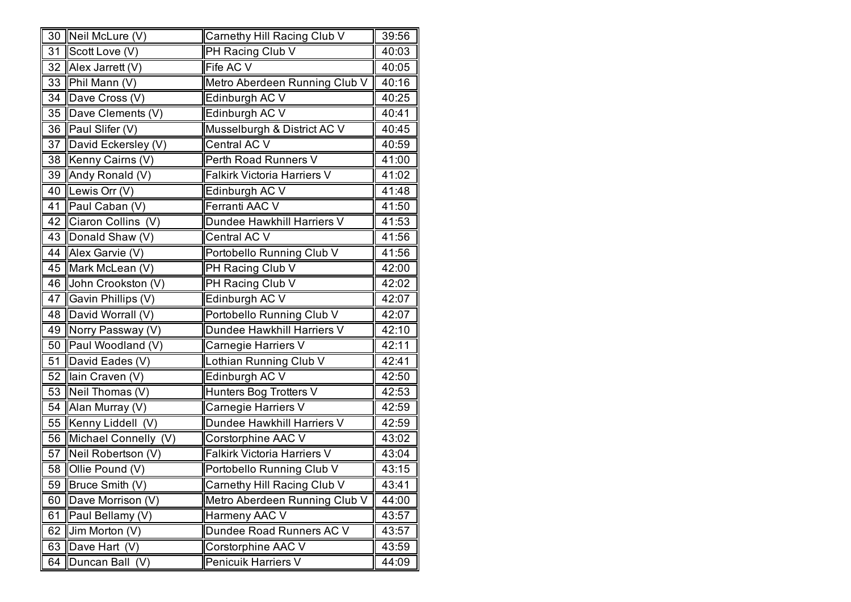|    | 30 Neil McLure (V)   | Carnethy Hill Racing Club V   | 39:56 |
|----|----------------------|-------------------------------|-------|
| 31 | Scott Love (V)       | PH Racing Club V              | 40:03 |
| 32 | Alex Jarrett (V)     | Fife AC V                     | 40:05 |
| 33 | Phil Mann (V)        | Metro Aberdeen Running Club V | 40:16 |
| 34 | Dave Cross (V)       | Edinburgh AC V                | 40:25 |
| 35 | Dave Clements (V)    | Edinburgh AC V                | 40:41 |
| 36 | Paul Slifer (V)      | Musselburgh & District AC V   | 40:45 |
| 37 | David Eckersley (V)  | Central AC V                  | 40:59 |
| 38 | Kenny Cairns (V)     | Perth Road Runners V          | 41:00 |
| 39 | Andy Ronald (V)      | Falkirk Victoria Harriers V   | 41:02 |
| 40 | Lewis Orr (V)        | Edinburgh AC V                | 41:48 |
| 41 | Paul Caban (V)       | Ferranti AAC V                | 41:50 |
| 42 | Ciaron Collins (V)   | Dundee Hawkhill Harriers V    | 41:53 |
| 43 | Donald Shaw (V)      | Central AC V                  | 41:56 |
| 44 | Alex Garvie (V)      | Portobello Running Club V     | 41:56 |
| 45 | Mark McLean (V)      | PH Racing Club V              | 42:00 |
| 46 | John Crookston (V)   | PH Racing Club V              | 42:02 |
| 47 | Gavin Phillips (V)   | Edinburgh AC V                | 42:07 |
| 48 | David Worrall (V)    | Portobello Running Club V     | 42:07 |
| 49 | Norry Passway (V)    | Dundee Hawkhill Harriers V    | 42:10 |
| 50 | Paul Woodland (V)    | Carnegie Harriers V           | 42:11 |
| 51 | David Eades (V)      | Lothian Running Club V        | 42:41 |
| 52 | Ilain Craven (V)     | Edinburgh AC V                | 42:50 |
| 53 | Neil Thomas (V)      | Hunters Bog Trotters V        | 42:53 |
| 54 | Alan Murray (V)      | Carnegie Harriers V           | 42:59 |
| 55 | Kenny Liddell (V)    | Dundee Hawkhill Harriers V    | 42:59 |
| 56 | Michael Connelly (V) | Corstorphine AAC V            | 43:02 |
| 57 | Neil Robertson (V)   | Falkirk Victoria Harriers V   | 43:04 |
| 58 | Ollie Pound (V)      | Portobello Running Club V     | 43:15 |
| 59 | Bruce Smith (V)      | Carnethy Hill Racing Club V   | 43:41 |
| 60 | Dave Morrison (V)    | Metro Aberdeen Running Club V | 44:00 |
| 61 | Paul Bellamy (V)     | Harmeny AAC V                 | 43:57 |
| 62 | Jim Morton (V)       | Dundee Road Runners AC V      | 43:57 |
| 63 | Dave Hart (V)        | Corstorphine AAC V            | 43:59 |
| 64 | Duncan Ball (V)      | Penicuik Harriers V           | 44:09 |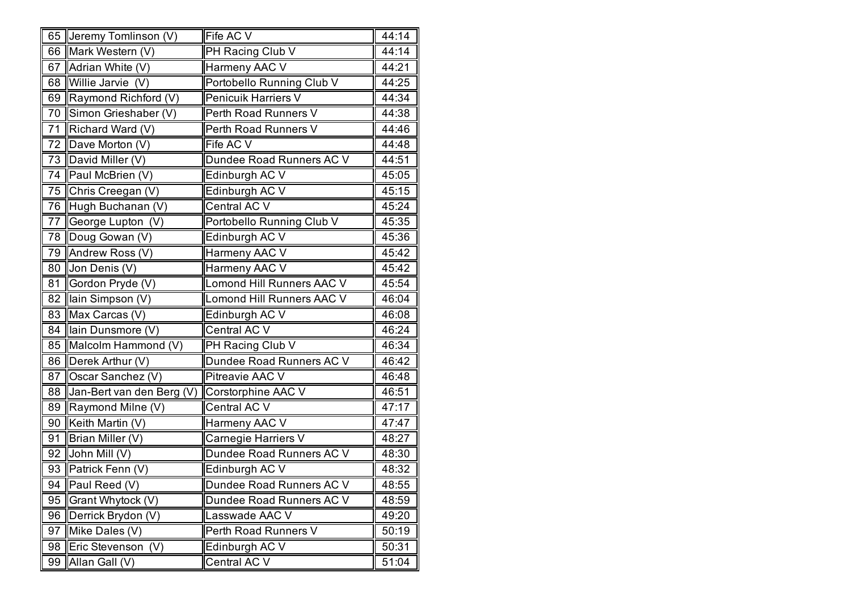|    | 65 Jeremy Tomlinson (V)   | Fife AC V                 | 44:14 |
|----|---------------------------|---------------------------|-------|
|    | 66 Mark Western (V)       | PH Racing Club V          | 44:14 |
| 67 | Adrian White (V)          | Harmeny AAC V             | 44:21 |
| 68 | Willie Jarvie (V)         | Portobello Running Club V | 44:25 |
| 69 | Raymond Richford (V)      | Penicuik Harriers V       | 44:34 |
| 70 | Simon Grieshaber (V)      | Perth Road Runners V      | 44:38 |
| 71 | Richard Ward (V)          | Perth Road Runners V      | 44:46 |
| 72 | Dave Morton (V)           | Fife AC V                 | 44:48 |
|    | 73   David Miller (V)     | Dundee Road Runners AC V  | 44:51 |
| 74 | Paul McBrien (V)          | Edinburgh AC V            | 45:05 |
| 75 | Chris Creegan (V)         | Edinburgh AC V            | 45:15 |
|    | 76 Hugh Buchanan (V)      | Central AC V              | 45:24 |
| 77 | George Lupton (V)         | Portobello Running Club V | 45:35 |
| 78 | Doug Gowan (V)            | Edinburgh AC V            | 45:36 |
| 79 | Andrew Ross (V)           | Harmeny AAC V             | 45:42 |
| 80 | Jon Denis (V)             | Harmeny AAC V             | 45:42 |
| 81 | Gordon Pryde (V)          | Lomond Hill Runners AAC V | 45:54 |
| 82 | lain Simpson (V)          | Lomond Hill Runners AAC V | 46:04 |
| 83 | Max Carcas (V)            | Edinburgh AC V            | 46:08 |
| 84 | Ilain Dunsmore (V)        | Central AC V              | 46:24 |
| 85 | Malcolm Hammond (V)       | PH Racing Club V          | 46:34 |
| 86 | Derek Arthur (V)          | Dundee Road Runners AC V  | 46:42 |
| 87 | Oscar Sanchez (V)         | Pitreavie AAC V           | 46:48 |
| 88 | Jan-Bert van den Berg (V) | Corstorphine AAC V        | 46:51 |
| 89 | Raymond Milne (V)         | Central AC V              | 47:17 |
| 90 | Keith Martin (V)          | Harmeny AAC V             | 47:47 |
| 91 | Brian Miller (V)          | Carnegie Harriers V       | 48:27 |
| 92 | John Mill (V)             | Dundee Road Runners AC V  | 48:30 |
| 93 | Patrick Fenn (V)          | Edinburgh AC V            | 48:32 |
|    | 94   Paul Reed $(V)$      | Dundee Road Runners AC V  | 48:55 |
| 95 | Grant Whytock (V)         | Dundee Road Runners AC V  | 48:59 |
| 96 | Derrick Brydon (V)        | Lasswade AAC V            | 49:20 |
| 97 | Mike Dales (V)            | Perth Road Runners V      | 50:19 |
| 98 | Eric Stevenson (V)        | Edinburgh AC V            | 50:31 |
| 99 | Allan Gall (V)            | Central AC V              | 51:04 |